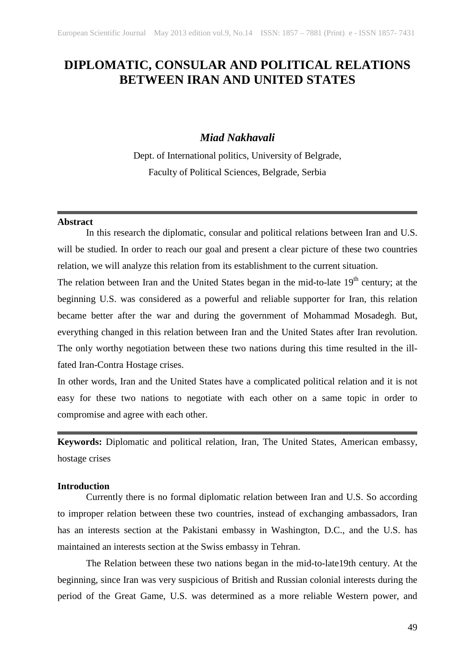# **DIPLOMATIC, CONSULAR AND POLITICAL RELATIONS BETWEEN IRAN AND UNITED STATES**

# *Miad Nakhavali*

Dept. of International politics, University of Belgrade, Faculty of Political Sciences, Belgrade, Serbia

### **Abstract**

In this research the diplomatic, consular and political relations between Iran and U.S. will be studied. In order to reach our goal and present a clear picture of these two countries relation, we will analyze this relation from its establishment to the current situation.

The relation between Iran and the United States began in the mid-to-late 19<sup>th</sup> century; at the beginning U.S. was considered as a powerful and reliable supporter for Iran, this relation became better after the war and during the government of Mohammad Mosadegh. But, everything changed in this relation between Iran and the United States after Iran revolution. The only worthy negotiation between these two nations during this time resulted in the illfated Iran-Contra Hostage crises.

In other words, Iran and the United States have a complicated political relation and it is not easy for these two nations to negotiate with each other on a same topic in order to compromise and agree with each other.

**Keywords:** Diplomatic and political relation, Iran, The United States, American embassy, hostage crises

### **Introduction**

Currently there is no formal diplomatic relation between Iran and U.S. So according to improper relation between these two countries, instead of exchanging ambassadors, Iran has an interests section at the Pakistani embassy in Washington, D.C., and the U.S. has maintained an interests section at the Swiss embassy in Tehran.

The Relation between these two nations began in the mid-to-late19th century. At the beginning, since Iran was very suspicious of British and Russian colonial interests during the period of the Great Game, U.S. was determined as a more reliable Western power, and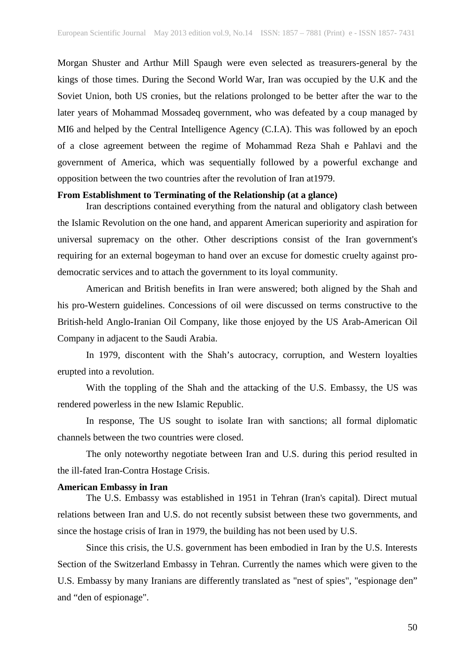Morgan Shuster and Arthur Mill Spaugh were even selected as treasurers-general by the kings of those times. During the Second World War, Iran was occupied by the U.K and the Soviet Union, both US cronies, but the relations prolonged to be better after the war to the later years of Mohammad Mossadeq government, who was defeated by a coup managed by MI6 and helped by the Central Intelligence Agency (C.I.A). This was followed by an epoch of a close agreement between the regime of Mohammad Reza Shah e Pahlavi and the government of America, which was sequentially followed by a powerful exchange and opposition between the two countries after the revolution of Iran at1979.

#### **From Establishment to Terminating of the Relationship (at a glance)**

Iran descriptions contained everything from the natural and obligatory clash between the Islamic Revolution on the one hand, and apparent American superiority and aspiration for universal supremacy on the other. Other descriptions consist of the Iran government's requiring for an external bogeyman to hand over an excuse for domestic cruelty against prodemocratic services and to attach the government to its loyal community.

American and British benefits in Iran were answered; both aligned by the Shah and his pro-Western guidelines. Concessions of oil were discussed on terms constructive to the British-held Anglo-Iranian Oil Company, like those enjoyed by the US Arab-American Oil Company in adjacent to the Saudi Arabia.

In 1979, discontent with the Shah's autocracy, corruption, and Western loyalties erupted into a revolution.

With the toppling of the Shah and the attacking of the U.S. Embassy, the US was rendered powerless in the new Islamic Republic.

In response, The US sought to isolate Iran with sanctions; all formal diplomatic channels between the two countries were closed.

The only noteworthy negotiate between Iran and U.S. during this period resulted in the ill-fated Iran-Contra Hostage Crisis.

# **American Embassy in Iran**

The U.S. Embassy was established in 1951 in Tehran (Iran's capital). Direct mutual relations between Iran and U.S. do not recently subsist between these two governments, and since the hostage crisis of Iran in 1979, the building has not been used by U.S.

Since this crisis, the U.S. government has been embodied in Iran by the U.S. Interests Section of the Switzerland Embassy in Tehran. Currently the names which were given to the U.S. Embassy by many Iranians are differently translated as "nest of spies", "espionage den" and "den of espionage".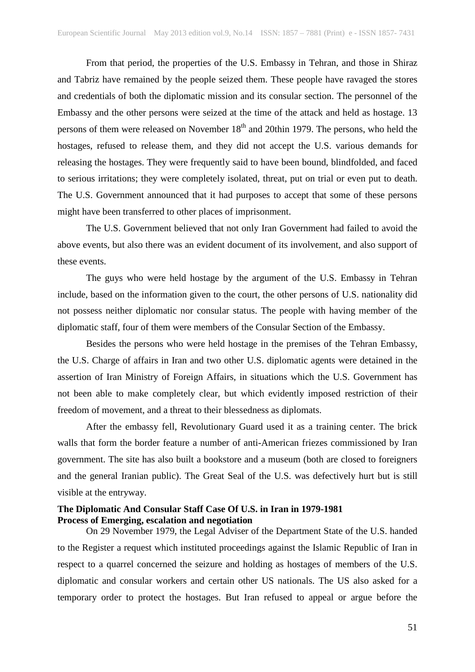From that period, the properties of the U.S. Embassy in Tehran, and those in Shiraz and Tabriz have remained by the people seized them. These people have ravaged the stores and credentials of both the diplomatic mission and its consular section. The personnel of the Embassy and the other persons were seized at the time of the attack and held as hostage. 13 persons of them were released on November  $18<sup>th</sup>$  and 20thin 1979. The persons, who held the hostages, refused to release them, and they did not accept the U.S. various demands for releasing the hostages. They were frequently said to have been bound, blindfolded, and faced to serious irritations; they were completely isolated, threat, put on trial or even put to death. The U.S. Government announced that it had purposes to accept that some of these persons might have been transferred to other places of imprisonment.

The U.S. Government believed that not only Iran Government had failed to avoid the above events, but also there was an evident document of its involvement, and also support of these events.

The guys who were held hostage by the argument of the U.S. Embassy in Tehran include, based on the information given to the court, the other persons of U.S. nationality did not possess neither diplomatic nor consular status. The people with having member of the diplomatic staff, four of them were members of the Consular Section of the Embassy.

Besides the persons who were held hostage in the premises of the Tehran Embassy, the U.S. Charge of affairs in Iran and two other U.S. diplomatic agents were detained in the assertion of Iran Ministry of Foreign Affairs, in situations which the U.S. Government has not been able to make completely clear, but which evidently imposed restriction of their freedom of movement, and a threat to their blessedness as diplomats.

After the embassy fell, Revolutionary Guard used it as a training center. The brick walls that form the border feature a number of anti-American friezes commissioned by Iran government. The site has also built a bookstore and a museum (both are closed to foreigners and the general Iranian public). The Great Seal of the U.S. was defectively hurt but is still visible at the entryway.

# **The Diplomatic And Consular Staff Case Of U.S. in Iran in 1979-1981 Process of Emerging, escalation and negotiation**

On 29 November 1979, the Legal Adviser of the Department State of the U.S. handed to the Register a request which instituted proceedings against the Islamic Republic of Iran in respect to a quarrel concerned the seizure and holding as hostages of members of the U.S. diplomatic and consular workers and certain other US nationals. The US also asked for a temporary order to protect the hostages. But Iran refused to appeal or argue before the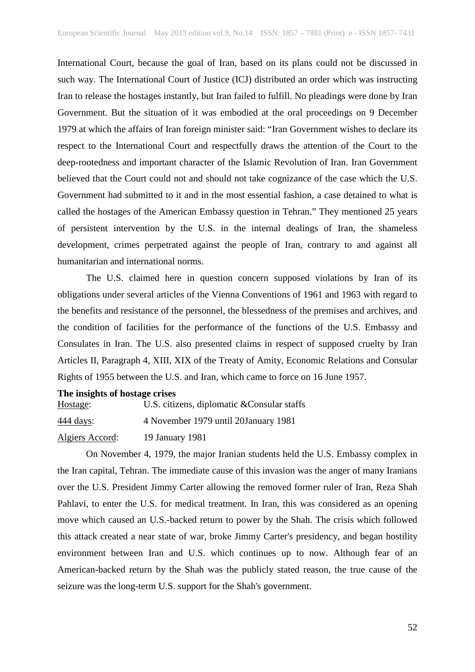International Court, because the goal of Iran, based on its plans could not be discussed in such way. The International Court of Justice (ICJ) distributed an order which was instructing Iran to release the hostages instantly, but Iran failed to fulfill. No pleadings were done by Iran Government. But the situation of it was embodied at the oral proceedings on 9 December 1979 at which the affairs of Iran foreign minister said: "Iran Government wishes to declare its respect to the International Court and respectfully draws the attention of the Court to the deep-rootedness and important character of the Islamic Revolution of Iran. Iran Government believed that the Court could not and should not take cognizance of the case which the U.S. Government had submitted to it and in the most essential fashion, a case detained to what is called the hostages of the American Embassy question in Tehran." They mentioned 25 years of persistent intervention by the U.S. in the internal dealings of Iran, the shameless development, crimes perpetrated against the people of Iran, contrary to and against all humanitarian and international norms.

The U.S. claimed here in question concern supposed violations by Iran of its obligations under several articles of the Vienna Conventions of 1961 and 1963 with regard to the benefits and resistance of the personnel, the blessedness of the premises and archives, and the condition of facilities for the performance of the functions of the U.S. Embassy and Consulates in Iran. The U.S. also presented claims in respect of supposed cruelty by Iran Articles II, Paragraph 4, XIII, XIX of the Treaty of Amity, Economic Relations and Consular Rights of 1955 between the U.S. and Iran, which came to force on 16 June 1957.

#### **The insights of hostage crises**

| Hostage:         | U.S. citizens, diplomatic & Consular staffs |
|------------------|---------------------------------------------|
| <u>444 days:</u> | 4 November 1979 until 20January 1981        |
| Algiers Accord:  | 19 January 1981                             |

On November 4, 1979, the major Iranian students held the U.S. Embassy complex in the Iran capital, Tehran. The immediate cause of this invasion was the anger of many Iranians over the U.S. President Jimmy Carter allowing the removed former ruler of Iran, Reza Shah Pahlavi, to enter the U.S. for medical treatment. In Iran, this was considered as an opening move which caused an U.S.-backed return to power by the Shah. The crisis which followed this attack created a near state of war, broke Jimmy Carter's presidency, and began hostility environment between Iran and U.S. which continues up to now. Although fear of an American-backed return by the Shah was the publicly stated reason, the true cause of the seizure was the long-term U.S. support for the Shah's government.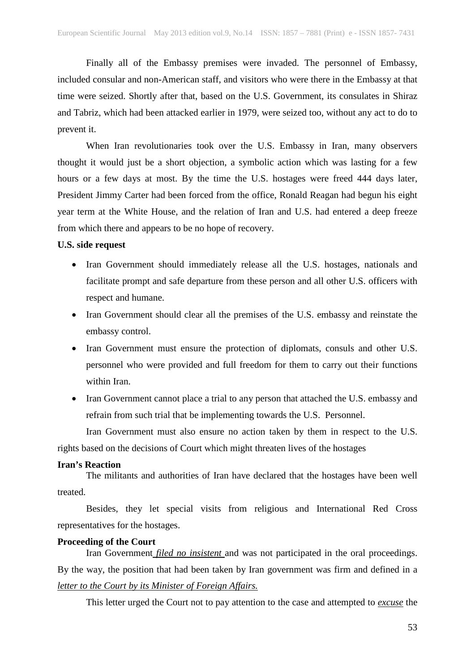Finally all of the Embassy premises were invaded. The personnel of Embassy, included consular and non-American staff, and visitors who were there in the Embassy at that time were seized. Shortly after that, based on the U.S. Government, its consulates in Shiraz and Tabriz, which had been attacked earlier in 1979, were seized too, without any act to do to prevent it.

When Iran revolutionaries took over the U.S. Embassy in Iran, many observers thought it would just be a short objection, a symbolic action which was lasting for a few hours or a few days at most. By the time the U.S. hostages were freed 444 days later, President Jimmy Carter had been forced from the office, Ronald Reagan had begun his eight year term at the White House, and the relation of Iran and U.S. had entered a deep freeze from which there and appears to be no hope of recovery.

### **U.S. side request**

- Iran Government should immediately release all the U.S. hostages, nationals and facilitate prompt and safe departure from these person and all other U.S. officers with respect and humane.
- Iran Government should clear all the premises of the U.S. embassy and reinstate the embassy control.
- Iran Government must ensure the protection of diplomats, consuls and other U.S. personnel who were provided and full freedom for them to carry out their functions within Iran.
- Iran Government cannot place a trial to any person that attached the U.S. embassy and refrain from such trial that be implementing towards the U.S. Personnel.

Iran Government must also ensure no action taken by them in respect to the U.S. rights based on the decisions of Court which might threaten lives of the hostages

### **Iran's Reaction**

The militants and authorities of Iran have declared that the hostages have been well treated.

Besides, they let special visits from religious and International Red Cross representatives for the hostages.

# **Proceeding of the Court**

Iran Government *filed no insistent* and was not participated in the oral proceedings. By the way, the position that had been taken by Iran government was firm and defined in a *letter to the Court by its Minister of Foreign Affairs.*

This letter urged the Court not to pay attention to the case and attempted to *excuse* the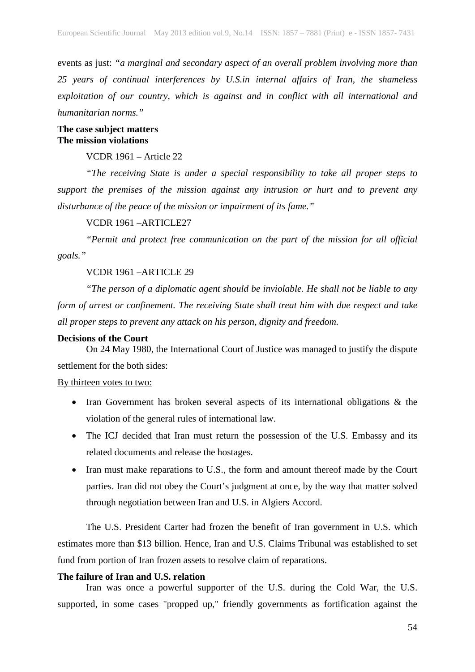events as just: *"a marginal and secondary aspect of an overall problem involving more than 25 years of continual interferences by U.S.in internal affairs of Iran, the shameless exploitation of our country, which is against and in conflict with all international and humanitarian norms."*

**The case subject matters The mission violations**

VCDR 1961 – Article 22

*"The receiving State is under a special responsibility to take all proper steps to support the premises of the mission against any intrusion or hurt and to prevent any disturbance of the peace of the mission or impairment of its fame."*

VCDR 1961 –ARTICLE27

*"Permit and protect free communication on the part of the mission for all official goals."*

VCDR 1961 –ARTICLE 29

*"The person of a diplomatic agent should be inviolable. He shall not be liable to any form of arrest or confinement. The receiving State shall treat him with due respect and take all proper steps to prevent any attack on his person, dignity and freedom.*

## **Decisions of the Court**

On 24 May 1980, the International Court of Justice was managed to justify the dispute settlement for the both sides:

### By thirteen votes to two:

- Iran Government has broken several aspects of its international obligations & the violation of the general rules of international law.
- The ICJ decided that Iran must return the possession of the U.S. Embassy and its related documents and release the hostages.
- Iran must make reparations to U.S., the form and amount thereof made by the Court parties. Iran did not obey the Court's judgment at once, by the way that matter solved through negotiation between Iran and U.S. in Algiers Accord.

The U.S. President Carter had frozen the benefit of Iran government in U.S. which estimates more than \$13 billion. Hence, Iran and U.S. Claims Tribunal was established to set fund from portion of Iran frozen assets to resolve claim of reparations.

# **The failure of Iran and U.S. relation**

Iran was once a powerful supporter of the U.S. during the Cold War, the U.S. supported, in some cases "propped up," friendly governments as fortification against the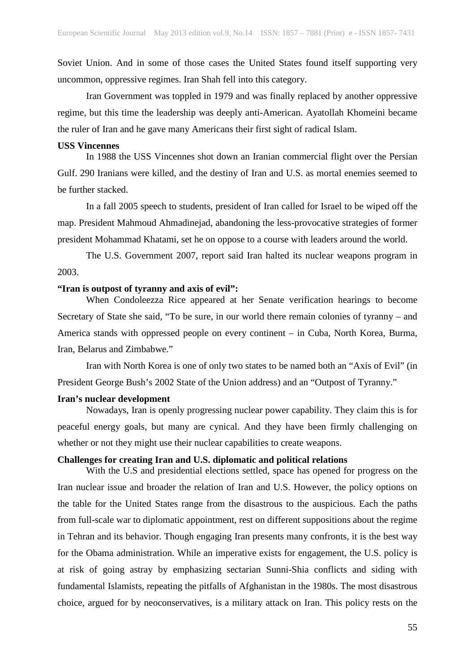Soviet Union. And in some of those cases the United States found itself supporting very uncommon, oppressive regimes. Iran Shah fell into this category.

Iran Government was toppled in 1979 and was finally replaced by another oppressive regime, but this time the leadership was deeply anti-American. Ayatollah Khomeini became the ruler of Iran and he gave many Americans their first sight of radical Islam.

#### **USS Vincennes**

In 1988 the USS Vincennes shot down an Iranian commercial flight over the Persian Gulf. 290 Iranians were killed, and the destiny of Iran and U.S. as mortal enemies seemed to be further stacked.

In a fall 2005 speech to students, president of Iran called for Israel to be wiped off the map. President Mahmoud Ahmadinejad, abandoning the less-provocative strategies of former president Mohammad Khatami, set he on oppose to a course with leaders around the world.

The U.S. Government 2007, report said Iran halted its nuclear weapons program in 2003.

### **"Iran is outpost of tyranny and axis of evil":**

When Condoleezza Rice appeared at her Senate verification hearings to become Secretary of State she said, "To be sure, in our world there remain colonies of tyranny – and America stands with oppressed people on every continent – in Cuba, North Korea, Burma, Iran, Belarus and Zimbabwe."

Iran with North Korea is one of only two states to be named both an "Axis of Evil" (in President George Bush's 2002 State of the Union address) and an "Outpost of Tyranny."

#### **Iran's nuclear development**

Nowadays, Iran is openly progressing nuclear power capability. They claim this is for peaceful energy goals, but many are cynical. And they have been firmly challenging on whether or not they might use their nuclear capabilities to create weapons.

# **Challenges for creating Iran and U.S. diplomatic and political relations**

With the U.S and presidential elections settled, space has opened for progress on the Iran nuclear issue and broader the relation of Iran and U.S. However, the policy options on the table for the United States range from the disastrous to the auspicious. Each the paths from full-scale war to diplomatic appointment, rest on different suppositions about the regime in Tehran and its behavior. Though engaging Iran presents many confronts, it is the best way for the Obama administration. While an imperative exists for engagement, the U.S. policy is at risk of going astray by emphasizing sectarian Sunni-Shia conflicts and siding with fundamental Islamists, repeating the pitfalls of Afghanistan in the 1980s. The most disastrous choice, argued for by neoconservatives, is a military attack on Iran. This policy rests on the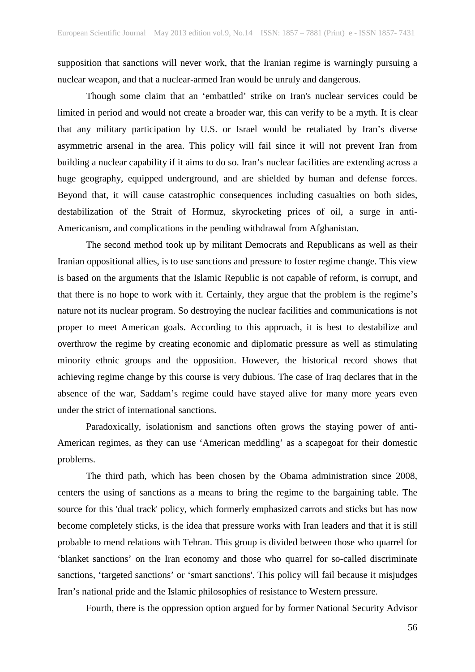supposition that sanctions will never work, that the Iranian regime is warningly pursuing a nuclear weapon, and that a nuclear-armed Iran would be unruly and dangerous.

Though some claim that an 'embattled' strike on Iran's nuclear services could be limited in period and would not create a broader war, this can verify to be a myth. It is clear that any military participation by U.S. or Israel would be retaliated by Iran's diverse asymmetric arsenal in the area. This policy will fail since it will not prevent Iran from building a nuclear capability if it aims to do so. Iran's nuclear facilities are extending across a huge geography, equipped underground, and are shielded by human and defense forces. Beyond that, it will cause catastrophic consequences including casualties on both sides, destabilization of the Strait of Hormuz, skyrocketing prices of oil, a surge in anti-Americanism, and complications in the pending withdrawal from Afghanistan.

The second method took up by militant Democrats and Republicans as well as their Iranian oppositional allies, is to use sanctions and pressure to foster regime change. This view is based on the arguments that the Islamic Republic is not capable of reform, is corrupt, and that there is no hope to work with it. Certainly, they argue that the problem is the regime's nature not its nuclear program. So destroying the nuclear facilities and communications is not proper to meet American goals. According to this approach, it is best to destabilize and overthrow the regime by creating economic and diplomatic pressure as well as stimulating minority ethnic groups and the opposition. However, the historical record shows that achieving regime change by this course is very dubious. The case of Iraq declares that in the absence of the war, Saddam's regime could have stayed alive for many more years even under the strict of international sanctions.

Paradoxically, isolationism and sanctions often grows the staying power of anti-American regimes, as they can use 'American meddling' as a scapegoat for their domestic problems.

The third path, which has been chosen by the Obama administration since 2008, centers the using of sanctions as a means to bring the regime to the bargaining table. The source for this 'dual track' policy, which formerly emphasized carrots and sticks but has now become completely sticks, is the idea that pressure works with Iran leaders and that it is still probable to mend relations with Tehran. This group is divided between those who quarrel for 'blanket sanctions' on the Iran economy and those who quarrel for so-called discriminate sanctions, 'targeted sanctions' or 'smart sanctions'. This policy will fail because it misjudges Iran's national pride and the Islamic philosophies of resistance to Western pressure.

Fourth, there is the oppression option argued for by former National Security Advisor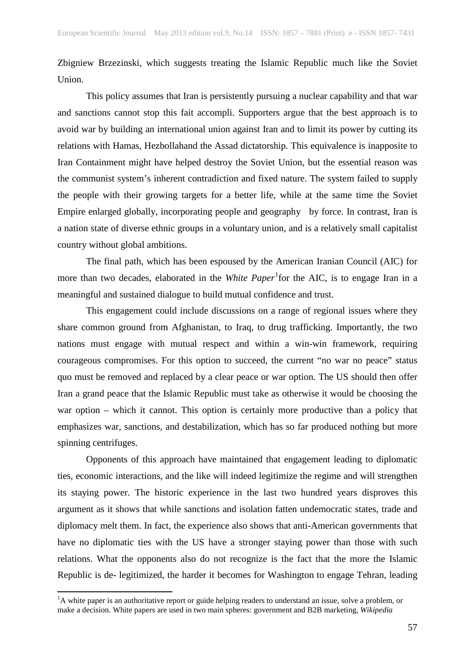Zbigniew Brzezinski, which suggests treating the Islamic Republic much like the Soviet Union.

This policy assumes that Iran is persistently pursuing a nuclear capability and that war and sanctions cannot stop this fait accompli. Supporters argue that the best approach is to avoid war by building an international union against Iran and to limit its power by cutting its relations with Hamas, Hezbollahand the Assad dictatorship. This equivalence is inapposite to Iran Containment might have helped destroy the Soviet Union, but the essential reason was the communist system's inherent contradiction and fixed nature. The system failed to supply the people with their growing targets for a better life, while at the same time the Soviet Empire enlarged globally, incorporating people and geography by force. In contrast, Iran is a nation state of diverse ethnic groups in a voluntary union, and is a relatively small capitalist country without global ambitions.

The final path, which has been espoused by the American Iranian Council (AIC) for more than two decades, elaborated in the *White Paper*<sup>[1](#page-8-0)</sup> for the AIC, is to engage Iran in a meaningful and sustained dialogue to build mutual confidence and trust.

This engagement could include discussions on a range of regional issues where they share common ground from Afghanistan, to Iraq, to drug trafficking. Importantly, the two nations must engage with mutual respect and within a win-win framework, requiring courageous compromises. For this option to succeed, the current "no war no peace" status quo must be removed and replaced by a clear peace or war option. The US should then offer Iran a grand peace that the Islamic Republic must take as otherwise it would be choosing the war option – which it cannot. This option is certainly more productive than a policy that emphasizes war, sanctions, and destabilization, which has so far produced nothing but more spinning centrifuges.

Opponents of this approach have maintained that engagement leading to diplomatic ties, economic interactions, and the like will indeed legitimize the regime and will strengthen its staying power. The historic experience in the last two hundred years disproves this argument as it shows that while sanctions and isolation fatten undemocratic states, trade and diplomacy melt them. In fact, the experience also shows that anti-American governments that have no diplomatic ties with the US have a stronger staying power than those with such relations. What the opponents also do not recognize is the fact that the more the Islamic Republic is de- legitimized, the harder it becomes for Washington to engage Tehran, leading

<span id="page-8-0"></span> $\frac{1}{1}$  ${}^{1}$ A white paper is an authoritative report or guide helping readers to understand an issue, solve a problem, or make a decision. White papers are used in two main spheres: government and B2B marketing, *Wikipedia*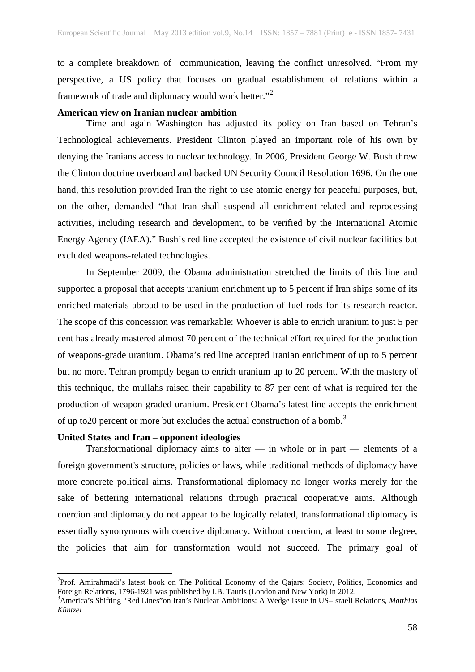to a complete breakdown of communication, leaving the conflict unresolved. "From my perspective, a US policy that focuses on gradual establishment of relations within a framework of trade and diplomacy would work better."[2](#page-9-0)

# **American view on Iranian nuclear ambition**

Time and again Washington has adjusted its policy on Iran based on Tehran's Technological achievements. President Clinton played an important role of his own by denying the Iranians access to nuclear technology. In 2006, President George W. Bush threw the Clinton doctrine overboard and backed UN Security Council Resolution 1696. On the one hand, this resolution provided Iran the right to use atomic energy for peaceful purposes, but, on the other, demanded "that Iran shall suspend all enrichment-related and reprocessing activities, including research and development, to be verified by the International Atomic Energy Agency (IAEA)." Bush's red line accepted the existence of civil nuclear facilities but excluded weapons-related technologies.

In September 2009, the Obama administration stretched the limits of this line and supported a proposal that accepts uranium enrichment up to 5 percent if Iran ships some of its enriched materials abroad to be used in the production of fuel rods for its research reactor. The scope of this concession was remarkable: Whoever is able to enrich uranium to just 5 per cent has already mastered almost 70 percent of the technical effort required for the production of weapons-grade uranium. Obama's red line accepted Iranian enrichment of up to 5 percent but no more. Tehran promptly began to enrich uranium up to 20 percent. With the mastery of this technique, the mullahs raised their capability to 87 per cent of what is required for the production of weapon-graded-uranium. President Obama's latest line accepts the enrichment of up to 20 percent or more but excludes the actual construction of a bomb.<sup>[3](#page-9-1)</sup>

### **United States and Iran – opponent ideologies**

Transformational diplomacy aims to alter — in whole or in part — elements of a foreign government's structure, policies or laws, while traditional methods of diplomacy have more concrete political aims. Transformational diplomacy no longer works merely for the sake of bettering international relations through practical cooperative aims. Although coercion and diplomacy do not appear to be logically related, transformational diplomacy is essentially synonymous with coercive diplomacy. Without coercion, at least to some degree, the policies that aim for transformation would not succeed. The primary goal of

<span id="page-9-0"></span> $\frac{1}{2}$ Prof. Amirahmadi's latest book on The Political Economy of the Qajars: Society, Politics, Economics and Foreign Relations, 1796-1921 was published by I.B. Tauris (London and New York) in 2012. <sup>3</sup>

<span id="page-9-1"></span>America's Shifting "Red Lines"on Iran's Nuclear Ambitions: A Wedge Issue in US–Israeli Relations, *Matthias Küntzel*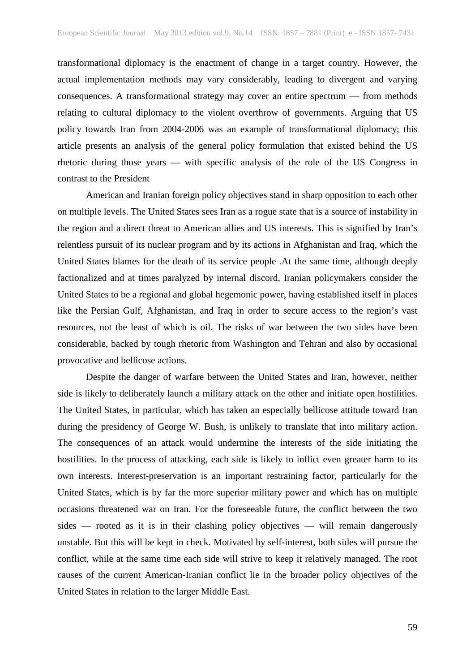transformational diplomacy is the enactment of change in a target country. However, the actual implementation methods may vary considerably, leading to divergent and varying consequences. A transformational strategy may cover an entire spectrum — from methods relating to cultural diplomacy to the violent overthrow of governments. Arguing that US policy towards Iran from 2004-2006 was an example of transformational diplomacy; this article presents an analysis of the general policy formulation that existed behind the US rhetoric during those years — with specific analysis of the role of the US Congress in contrast to the President

American and Iranian foreign policy objectives stand in sharp opposition to each other on multiple levels. The United States sees Iran as a rogue state that is a source of instability in the region and a direct threat to American allies and US interests. This is signified by Iran's relentless pursuit of its nuclear program and by its actions in Afghanistan and Iraq, which the United States blames for the death of its service people .At the same time, although deeply factionalized and at times paralyzed by internal discord, Iranian policymakers consider the United States to be a regional and global hegemonic power, having established itself in places like the Persian Gulf, Afghanistan, and Iraq in order to secure access to the region's vast resources, not the least of which is oil. The risks of war between the two sides have been considerable, backed by tough rhetoric from Washington and Tehran and also by occasional provocative and bellicose actions.

Despite the danger of warfare between the United States and Iran, however, neither side is likely to deliberately launch a military attack on the other and initiate open hostilities. The United States, in particular, which has taken an especially bellicose attitude toward Iran during the presidency of George W. Bush, is unlikely to translate that into military action. The consequences of an attack would undermine the interests of the side initiating the hostilities. In the process of attacking, each side is likely to inflict even greater harm to its own interests. Interest-preservation is an important restraining factor, particularly for the United States, which is by far the more superior military power and which has on multiple occasions threatened war on Iran. For the foreseeable future, the conflict between the two sides — rooted as it is in their clashing policy objectives — will remain dangerously unstable. But this will be kept in check. Motivated by self-interest, both sides will pursue the conflict, while at the same time each side will strive to keep it relatively managed. The root causes of the current American-Iranian conflict lie in the broader policy objectives of the United States in relation to the larger Middle East.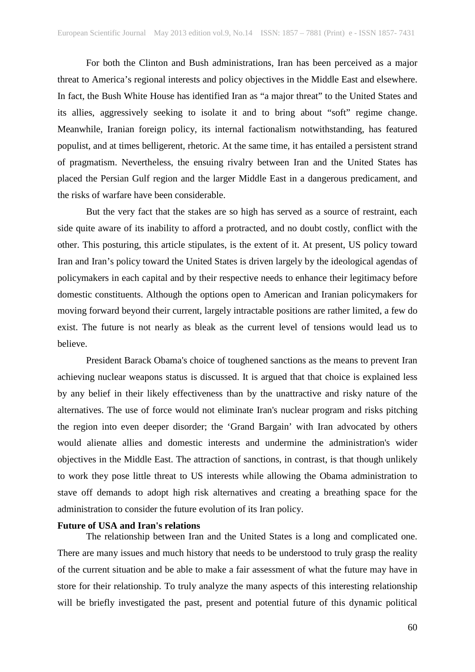For both the Clinton and Bush administrations, Iran has been perceived as a major threat to America's regional interests and policy objectives in the Middle East and elsewhere. In fact, the Bush White House has identified Iran as "a major threat" to the United States and its allies, aggressively seeking to isolate it and to bring about "soft" regime change. Meanwhile, Iranian foreign policy, its internal factionalism notwithstanding, has featured populist, and at times belligerent, rhetoric. At the same time, it has entailed a persistent strand of pragmatism. Nevertheless, the ensuing rivalry between Iran and the United States has placed the Persian Gulf region and the larger Middle East in a dangerous predicament, and the risks of warfare have been considerable.

But the very fact that the stakes are so high has served as a source of restraint, each side quite aware of its inability to afford a protracted, and no doubt costly, conflict with the other. This posturing, this article stipulates, is the extent of it. At present, US policy toward Iran and Iran's policy toward the United States is driven largely by the ideological agendas of policymakers in each capital and by their respective needs to enhance their legitimacy before domestic constituents. Although the options open to American and Iranian policymakers for moving forward beyond their current, largely intractable positions are rather limited, a few do exist. The future is not nearly as bleak as the current level of tensions would lead us to believe.

President Barack Obama's choice of toughened sanctions as the means to prevent Iran achieving nuclear weapons status is discussed. It is argued that that choice is explained less by any belief in their likely effectiveness than by the unattractive and risky nature of the alternatives. The use of force would not eliminate Iran's nuclear program and risks pitching the region into even deeper disorder; the 'Grand Bargain' with Iran advocated by others would alienate allies and domestic interests and undermine the administration's wider objectives in the Middle East. The attraction of sanctions, in contrast, is that though unlikely to work they pose little threat to US interests while allowing the Obama administration to stave off demands to adopt high risk alternatives and creating a breathing space for the administration to consider the future evolution of its Iran policy.

### **Future of USA and Iran's relations**

The relationship between Iran and the United States is a long and complicated one. There are many issues and much history that needs to be understood to truly grasp the reality of the current situation and be able to make a fair assessment of what the future may have in store for their relationship. To truly analyze the many aspects of this interesting relationship will be briefly investigated the past, present and potential future of this dynamic political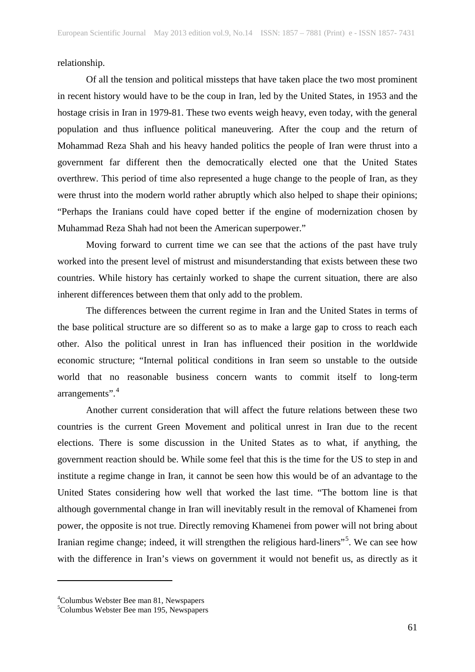relationship.

Of all the tension and political missteps that have taken place the two most prominent in recent history would have to be the coup in Iran, led by the United States, in 1953 and the hostage crisis in Iran in 1979-81. These two events weigh heavy, even today, with the general population and thus influence political maneuvering. After the coup and the return of Mohammad Reza Shah and his heavy handed politics the people of Iran were thrust into a government far different then the democratically elected one that the United States overthrew. This period of time also represented a huge change to the people of Iran, as they were thrust into the modern world rather abruptly which also helped to shape their opinions; "Perhaps the Iranians could have coped better if the engine of modernization chosen by Muhammad Reza Shah had not been the American superpower."

Moving forward to current time we can see that the actions of the past have truly worked into the present level of mistrust and misunderstanding that exists between these two countries. While history has certainly worked to shape the current situation, there are also inherent differences between them that only add to the problem.

The differences between the current regime in Iran and the United States in terms of the base political structure are so different so as to make a large gap to cross to reach each other. Also the political unrest in Iran has influenced their position in the worldwide economic structure; "Internal political conditions in Iran seem so unstable to the outside world that no reasonable business concern wants to commit itself to long-term arrangements".<sup>[4](#page-12-0)</sup>

Another current consideration that will affect the future relations between these two countries is the current Green Movement and political unrest in Iran due to the recent elections. There is some discussion in the United States as to what, if anything, the government reaction should be. While some feel that this is the time for the US to step in and institute a regime change in Iran, it cannot be seen how this would be of an advantage to the United States considering how well that worked the last time. "The bottom line is that although governmental change in Iran will inevitably result in the removal of Khamenei from power, the opposite is not true. Directly removing Khamenei from power will not bring about Iranian regime change; indeed, it will strengthen the religious hard-liners"<sup>[5](#page-12-1)</sup>. We can see how with the difference in Iran's views on government it would not benefit us, as directly as it

 $\overline{a}$ 

<sup>4</sup> Columbus Webster Bee man 81, Newspapers

<span id="page-12-1"></span><span id="page-12-0"></span><sup>5</sup> Columbus Webster Bee man 195, Newspapers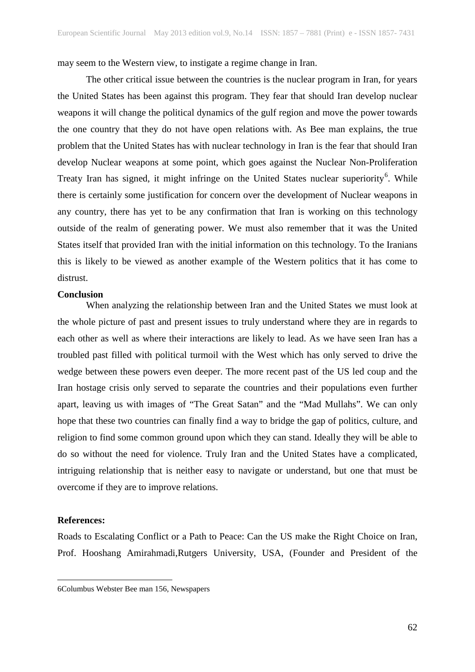may seem to the Western view, to instigate a regime change in Iran.

The other critical issue between the countries is the nuclear program in Iran, for years the United States has been against this program. They fear that should Iran develop nuclear weapons it will change the political dynamics of the gulf region and move the power towards the one country that they do not have open relations with. As Bee man explains, the true problem that the United States has with nuclear technology in Iran is the fear that should Iran develop Nuclear weapons at some point, which goes against the Nuclear Non-Proliferation Treaty Iran has signed, it might infringe on the United States nuclear superiority<sup>[6](#page-13-0)</sup>. While there is certainly some justification for concern over the development of Nuclear weapons in any country, there has yet to be any confirmation that Iran is working on this technology outside of the realm of generating power. We must also remember that it was the United States itself that provided Iran with the initial information on this technology. To the Iranians this is likely to be viewed as another example of the Western politics that it has come to distrust.

# **Conclusion**

When analyzing the relationship between Iran and the United States we must look at the whole picture of past and present issues to truly understand where they are in regards to each other as well as where their interactions are likely to lead. As we have seen Iran has a troubled past filled with political turmoil with the West which has only served to drive the wedge between these powers even deeper. The more recent past of the US led coup and the Iran hostage crisis only served to separate the countries and their populations even further apart, leaving us with images of "The Great Satan" and the "Mad Mullahs". We can only hope that these two countries can finally find a way to bridge the gap of politics, culture, and religion to find some common ground upon which they can stand. Ideally they will be able to do so without the need for violence. Truly Iran and the United States have a complicated, intriguing relationship that is neither easy to navigate or understand, but one that must be overcome if they are to improve relations.

### **References:**

 $\overline{a}$ 

Roads to Escalating Conflict or a Path to Peace: Can the US make the Right Choice on Iran, Prof. Hooshang Amirahmadi,Rutgers University, USA, (Founder and President of the

<span id="page-13-0"></span><sup>6</sup>Columbus Webster Bee man 156, Newspapers